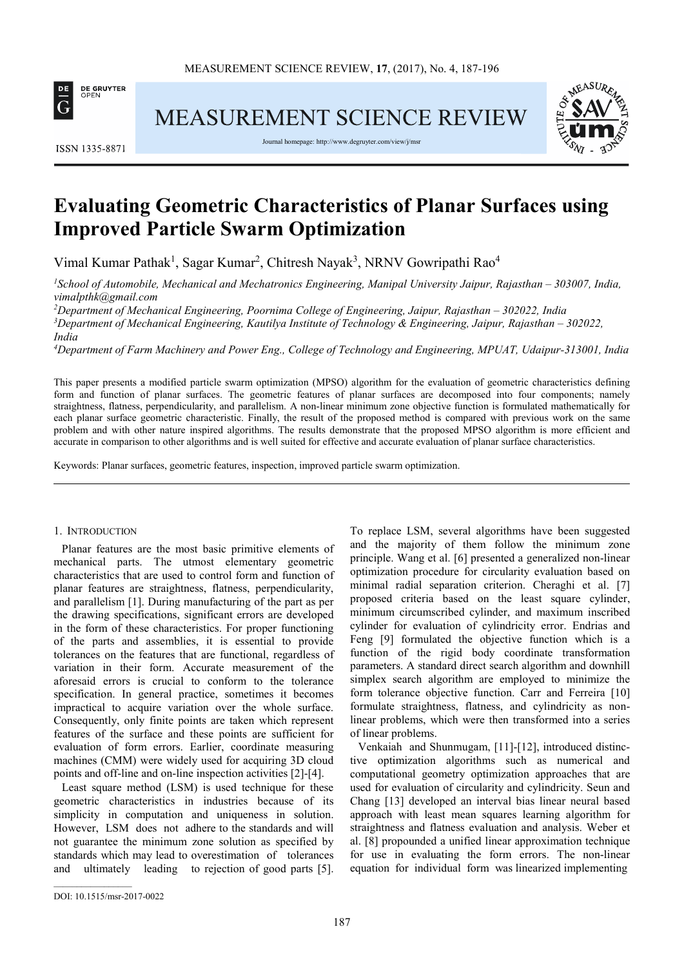

MEASUREMENT SCIENCE REVIEW



Journal homepage: http://www.degruyter.com/view/j/msr



# **Evaluating Geometric Characteristics of Planar Surfaces using Improved Particle Swarm Optimization**

Vimal Kumar Pathak<sup>1</sup>, Sagar Kumar<sup>2</sup>, Chitresh Nayak<sup>3</sup>, NRNV Gowripathi Rao<sup>4</sup>

*<sup>1</sup>School of Automobile, Mechanical and Mechatronics Engineering, Manipal University Jaipur, Rajasthan – 303007, India, vimalpthk@gmail.com* 

*<sup>2</sup>Department of Mechanical Engineering, Poornima College of Engineering, Jaipur, Rajasthan – 302022, India <sup>3</sup>Department of Mechanical Engineering, Kautilya Institute of Technology & Engineering, Jaipur, Rajasthan – 302022, India* 

*<sup>4</sup>Department of Farm Machinery and Power Eng., College of Technology and Engineering, MPUAT, Udaipur-313001, India* 

This paper presents a modified particle swarm optimization (MPSO) algorithm for the evaluation of geometric characteristics defining form and function of planar surfaces. The geometric features of planar surfaces are decomposed into four components; namely straightness, flatness, perpendicularity, and parallelism. A non-linear minimum zone objective function is formulated mathematically for each planar surface geometric characteristic. Finally, the result of the proposed method is compared with previous work on the same problem and with other nature inspired algorithms. The results demonstrate that the proposed MPSO algorithm is more efficient and accurate in comparison to other algorithms and is well suited for effective and accurate evaluation of planar surface characteristics.

Keywords: Planar surfaces, geometric features, inspection, improved particle swarm optimization.

## 1. INTRODUCTION

Planar features are the most basic primitive elements of mechanical parts. The utmost elementary geometric characteristics that are used to control form and function of planar features are straightness, flatness, perpendicularity, and parallelism [1]. During manufacturing of the part as per the drawing specifications, significant errors are developed in the form of these characteristics. For proper functioning of the parts and assemblies, it is essential to provide tolerances on the features that are functional, regardless of variation in their form. Accurate measurement of the aforesaid errors is crucial to conform to the tolerance specification. In general practice, sometimes it becomes impractical to acquire variation over the whole surface. Consequently, only finite points are taken which represent features of the surface and these points are sufficient for evaluation of form errors. Earlier, coordinate measuring machines (CMM) were widely used for acquiring 3D cloud points and off-line and on-line inspection activities [2]-[4].

Least square method (LSM) is used technique for these geometric characteristics in industries because of its simplicity in computation and uniqueness in solution. However, LSM does not adhere to the standards and will not guarantee the minimum zone solution as specified by standards which may lead to overestimation of tolerances and ultimately leading to rejection of good parts [5]. To replace LSM, several algorithms have been suggested and the majority of them follow the minimum zone principle. Wang et al. [6] presented a generalized non-linear optimization procedure for circularity evaluation based on minimal radial separation criterion. Cheraghi et al. [7] proposed criteria based on the least square cylinder, minimum circumscribed cylinder, and maximum inscribed cylinder for evaluation of cylindricity error. Endrias and Feng [9] formulated the objective function which is a function of the rigid body coordinate transformation parameters. A standard direct search algorithm and downhill simplex search algorithm are employed to minimize the form tolerance objective function. Carr and Ferreira [10] formulate straightness, flatness, and cylindricity as nonlinear problems, which were then transformed into a series of linear problems.

Venkaiah and Shunmugam, [11]-[12], introduced distinctive optimization algorithms such as numerical and computational geometry optimization approaches that are used for evaluation of circularity and cylindricity. Seun and Chang [13] developed an interval bias linear neural based approach with least mean squares learning algorithm for straightness and flatness evaluation and analysis. Weber et al. [8] propounded a unified linear approximation technique for use in evaluating the form errors. The non-linear equation for individual form was linearized implementing

DOI: 10.1515/msr-2017-0022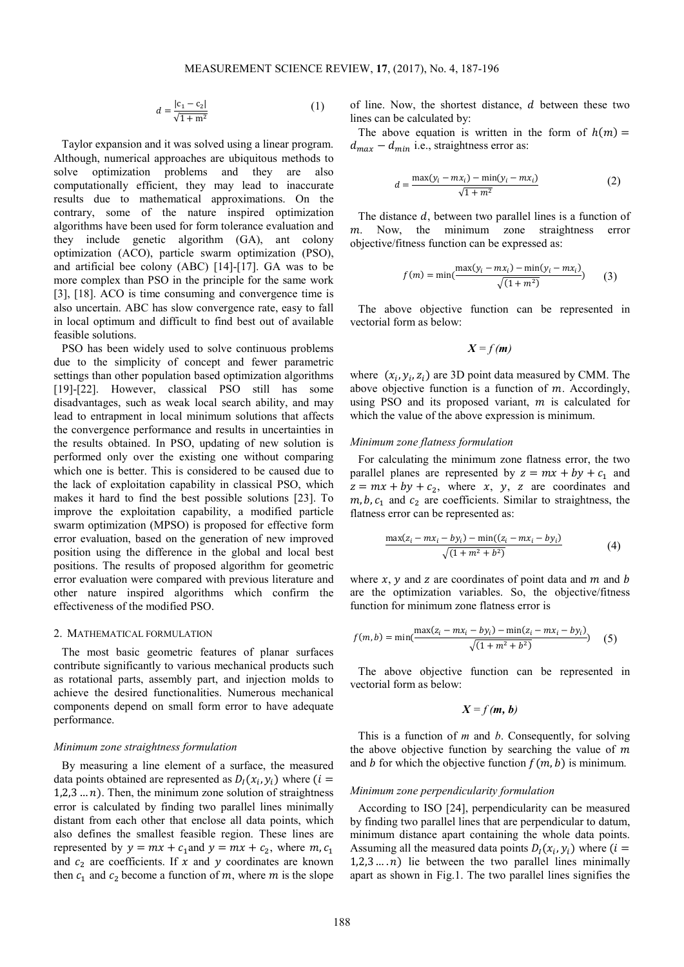$$
d = \frac{|c_1 - c_2|}{\sqrt{1 + m^2}}\tag{1}
$$

Taylor expansion and it was solved using a linear program. Although, numerical approaches are ubiquitous methods to solve optimization problems and they are also computationally efficient, they may lead to inaccurate results due to mathematical approximations. On the contrary, some of the nature inspired optimization algorithms have been used for form tolerance evaluation and they include genetic algorithm (GA), ant colony optimization (ACO), particle swarm optimization (PSO), and artificial bee colony (ABC) [14]-[17]. GA was to be more complex than PSO in the principle for the same work [3], [18]. ACO is time consuming and convergence time is also uncertain. ABC has slow convergence rate, easy to fall in local optimum and difficult to find best out of available feasible solutions.

PSO has been widely used to solve continuous problems due to the simplicity of concept and fewer parametric settings than other population based optimization algorithms [19]-[22]. However, classical PSO still has some disadvantages, such as weak local search ability, and may lead to entrapment in local minimum solutions that affects the convergence performance and results in uncertainties in the results obtained. In PSO, updating of new solution is performed only over the existing one without comparing which one is better. This is considered to be caused due to the lack of exploitation capability in classical PSO, which makes it hard to find the best possible solutions [23]. To improve the exploitation capability, a modified particle swarm optimization (MPSO) is proposed for effective form error evaluation, based on the generation of new improved position using the difference in the global and local best positions. The results of proposed algorithm for geometric error evaluation were compared with previous literature and other nature inspired algorithms which confirm the effectiveness of the modified PSO.

## 2. MATHEMATICAL FORMULATION

The most basic geometric features of planar surfaces contribute significantly to various mechanical products such as rotational parts, assembly part, and injection molds to achieve the desired functionalities. Numerous mechanical components depend on small form error to have adequate performance.

## *Minimum zone straightness formulation*

By measuring a line element of a surface, the measured data points obtained are represented as  $D_l(x_i, y_i)$  where (*i* =  $1,2,3...n$ . Then, the minimum zone solution of straightness error is calculated by finding two parallel lines minimally distant from each other that enclose all data points, which also defines the smallest feasible region. These lines are represented by  $y = mx + c_1$  and  $y = mx + c_2$ , where  $m, c_1$ and  $c_2$  are coefficients. If  $x$  and  $y$  coordinates are known then  $c_1$  and  $c_2$  become a function of m, where m is the slope of line. Now, the shortest distance,  $d$  between these two lines can be calculated by:

The above equation is written in the form of  $h(m)$  =  $d_{max} - d_{min}$  i.e., straightness error as:

$$
d = \frac{\max(y_i - mx_i) - \min(y_i - mx_i)}{\sqrt{1 + m^2}}\tag{2}
$$

The distance  $d$ , between two parallel lines is a function of m. Now, the minimum zone straightness error objective/fitness function can be expressed as:

$$
f(m) = \min(\frac{\max(y_i - mx_i) - \min(y_i - mx_i)}{\sqrt{(1 + m^2)}})
$$
 (3)

The above objective function can be represented in vectorial form as below:

$$
X = f(m)
$$

where  $(x_i, y_i, z_i)$  are 3D point data measured by CMM. The above objective function is a function of  $m$ . Accordingly, using PSO and its proposed variant,  $m$  is calculated for which the value of the above expression is minimum.

#### *Minimum zone flatness formulation*

For calculating the minimum zone flatness error, the two parallel planes are represented by  $z = mx + by + c_1$  and  $z = mx + by + c_2$ , where x, y, z are coordinates and  $m, b, c<sub>1</sub>$  and  $c<sub>2</sub>$  are coefficients. Similar to straightness, the flatness error can be represented as:

$$
\frac{\max(z_i - mx_i - by_i) - \min((z_i - mx_i - by_i)}{\sqrt{(1 + m^2 + b^2)}}\tag{4}
$$

where  $x$ ,  $y$  and  $z$  are coordinates of point data and  $m$  and  $b$ are the optimization variables. So, the objective/fitness function for minimum zone flatness error is

$$
f(m, b) = \min(\frac{\max(z_i - mx_i - by_i) - \min(z_i - mx_i - by_i)}{\sqrt{(1 + m^2 + b^2)}})
$$
 (5)

The above objective function can be represented in vectorial form as below:

$$
X = f(m, b)
$$

This is a function of *m* and *b*. Consequently, for solving the above objective function by searching the value of  $m$ and b for which the objective function  $f(m, b)$  is minimum.

#### *Minimum zone perpendicularity formulation*

According to ISO [24], perpendicularity can be measured by finding two parallel lines that are perpendicular to datum, minimum distance apart containing the whole data points. Assuming all the measured data points  $D_l(x_i, y_i)$  where (*i* =  $1,2,3,...,n$ ) lie between the two parallel lines minimally apart as shown in Fig.1. The two parallel lines signifies the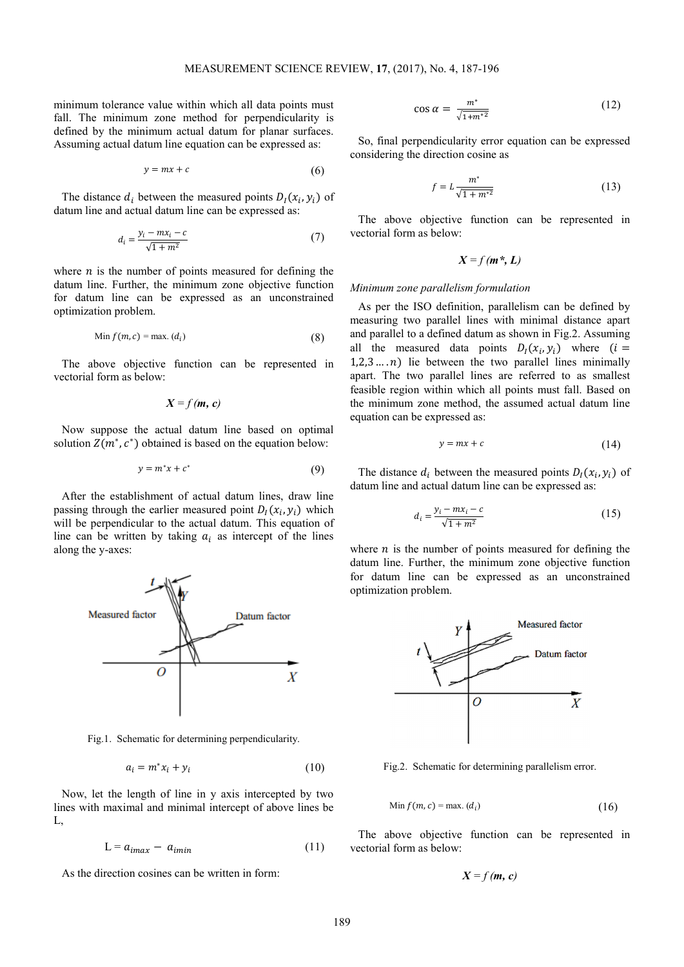minimum tolerance value within which all data points must fall. The minimum zone method for perpendicularity is defined by the minimum actual datum for planar surfaces. Assuming actual datum line equation can be expressed as:

$$
y = mx + c \tag{6}
$$

The distance  $d_i$  between the measured points  $D_l(x_i, y_i)$  of datum line and actual datum line can be expressed as:

$$
d_i = \frac{y_i - mx_i - c}{\sqrt{1 + m^2}}\tag{7}
$$

where  $n$  is the number of points measured for defining the datum line. Further, the minimum zone objective function for datum line can be expressed as an unconstrained optimization problem.

$$
\text{Min } f(m, c) = \max_{i} (d_i) \tag{8}
$$

The above objective function can be represented in vectorial form as below:

$$
X = f(m, c)
$$

Now suppose the actual datum line based on optimal solution  $Z(m^*, c^*)$  obtained is based on the equation below:

$$
y = m^*x + c^* \tag{9}
$$

After the establishment of actual datum lines, draw line passing through the earlier measured point  $D_l(x_i, y_i)$  which will be perpendicular to the actual datum. This equation of line can be written by taking  $a_i$  as intercept of the lines along the y-axes:



Fig.1. Schematic for determining perpendicularity.

$$
a_i = m^* x_i + y_i \tag{10}
$$

Now, let the length of line in y axis intercepted by two lines with maximal and minimal intercept of above lines be L,

$$
L = a_{imax} - a_{imin} \tag{11}
$$

As the direction cosines can be written in form:

$$
\cos \alpha = \frac{m^*}{\sqrt{1 + m^{*2}}} \tag{12}
$$

So, final perpendicularity error equation can be expressed considering the direction cosine as

$$
f = L \frac{m^*}{\sqrt{1 + m^{*2}}} \tag{13}
$$

The above objective function can be represented in vectorial form as below:

$$
X = f(m^*, L)
$$

#### *Minimum zone parallelism formulation*

As per the ISO definition, parallelism can be defined by measuring two parallel lines with minimal distance apart and parallel to a defined datum as shown in Fig.2. Assuming all the measured data points  $D_l(x_i, y_i)$  where  $(i =$  $1,2,3,...,n$ ) lie between the two parallel lines minimally apart. The two parallel lines are referred to as smallest feasible region within which all points must fall. Based on the minimum zone method, the assumed actual datum line equation can be expressed as:

$$
y = mx + c \tag{14}
$$

The distance  $d_i$  between the measured points  $D_l(x_i, y_i)$  of datum line and actual datum line can be expressed as:

$$
d_i = \frac{y_i - mx_i - c}{\sqrt{1 + m^2}}\tag{15}
$$

where  $n$  is the number of points measured for defining the datum line. Further, the minimum zone objective function for datum line can be expressed as an unconstrained optimization problem.



Fig.2. Schematic for determining parallelism error.

$$
\text{Min } f(m, c) = \max_{i} (d_i) \tag{16}
$$

The above objective function can be represented in vectorial form as below:

$$
X = f(m, c)
$$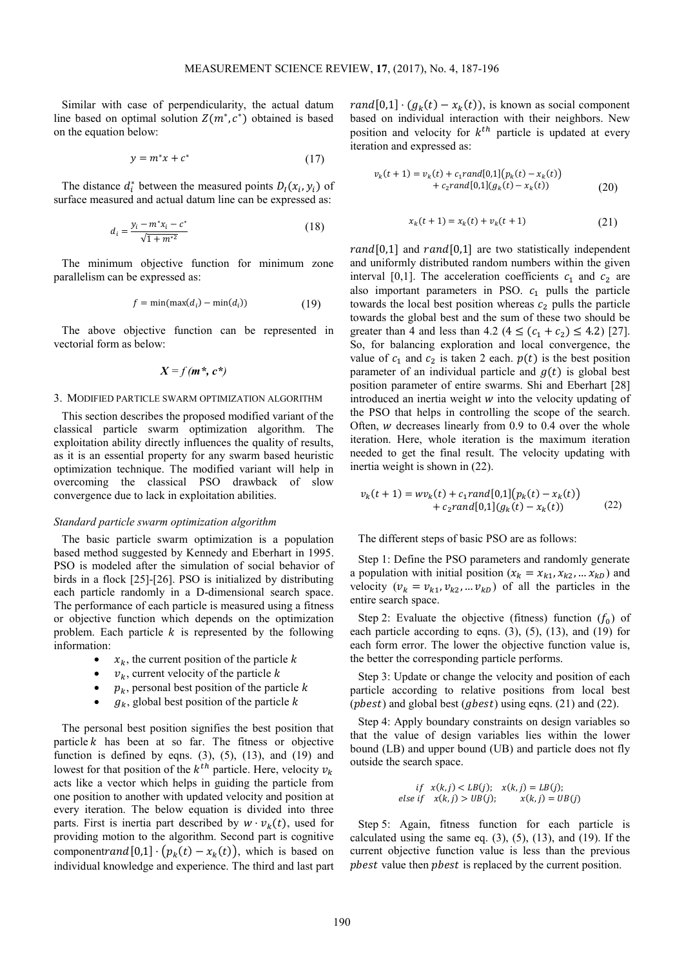Similar with case of perpendicularity, the actual datum line based on optimal solution  $Z(m^*, c^*)$  obtained is based on the equation below:

$$
y = m^*x + c^* \tag{17}
$$

The distance  $d_i^*$  between the measured points  $D_i(x_i, y_i)$  of surface measured and actual datum line can be expressed as:

$$
d_i = \frac{y_i - m^* x_i - c^*}{\sqrt{1 + m^{*2}}} \tag{18}
$$

The minimum objective function for minimum zone parallelism can be expressed as:

$$
f = \min(\max(d_i) - \min(d_i))\tag{19}
$$

The above objective function can be represented in vectorial form as below:

$$
X = f(m^*, c^*)
$$

## 3. MODIFIED PARTICLE SWARM OPTIMIZATION ALGORITHM

This section describes the proposed modified variant of the classical particle swarm optimization algorithm. The exploitation ability directly influences the quality of results, as it is an essential property for any swarm based heuristic optimization technique. The modified variant will help in overcoming the classical PSO drawback of slow convergence due to lack in exploitation abilities.

## *Standard particle swarm optimization algorithm*

The basic particle swarm optimization is a population based method suggested by Kennedy and Eberhart in 1995. PSO is modeled after the simulation of social behavior of birds in a flock [25]-[26]. PSO is initialized by distributing each particle randomly in a D-dimensional search space. The performance of each particle is measured using a fitness or objective function which depends on the optimization problem. Each particle  $k$  is represented by the following information:

- $x_k$ , the current position of the particle k
- $v_k$ , current velocity of the particle k
- $p_k$ , personal best position of the particle  $k$
- $g_k$ , global best position of the particle k

The personal best position signifies the best position that particle  $k$  has been at so far. The fitness or objective function is defined by eqns.  $(3)$ ,  $(5)$ ,  $(13)$ , and  $(19)$  and lowest for that position of the  $k^{th}$  particle. Here, velocity  $v_k$ acts like a vector which helps in guiding the particle from one position to another with updated velocity and position at every iteration. The below equation is divided into three parts. First is inertia part described by  $w \cdot v_k(t)$ , used for providing motion to the algorithm. Second part is cognitive component  $rand[0,1] \cdot (p_k(t) - x_k(t))$ , which is based on individual knowledge and experience. The third and last part

rand  $[0,1] \cdot (g_k(t) - x_k(t))$ , is known as social component based on individual interaction with their neighbors. New position and velocity for  $k^{th}$  particle is updated at every iteration and expressed as:

$$
v_k(t+1) = v_k(t) + c_1 rand[0,1](p_k(t) - x_k(t))
$$
  
+ 
$$
c_2 rand[0,1](g_k(t) - x_k(t))
$$
 (20)

$$
x_k(t+1) = x_k(t) + v_k(t+1)
$$
 (21)

 $rand[0,1]$  and  $rand[0,1]$  are two statistically independent and uniformly distributed random numbers within the given interval [0,1]. The acceleration coefficients  $c_1$  and  $c_2$  are also important parameters in PSO.  $c_1$  pulls the particle towards the local best position whereas  $c_2$  pulls the particle towards the global best and the sum of these two should be greater than 4 and less than 4.2 ( $4 \le (c_1 + c_2) \le 4.2$ ) [27]. So, for balancing exploration and local convergence, the value of  $c_1$  and  $c_2$  is taken 2 each.  $p(t)$  is the best position parameter of an individual particle and  $q(t)$  is global best position parameter of entire swarms. Shi and Eberhart [28] introduced an inertia weight  $w$  into the velocity updating of the PSO that helps in controlling the scope of the search. Often,  $w$  decreases linearly from 0.9 to 0.4 over the whole iteration. Here, whole iteration is the maximum iteration needed to get the final result. The velocity updating with inertia weight is shown in (22).

$$
v_k(t+1) = w v_k(t) + c_1 rand[0,1](p_k(t) - x_k(t)) + c_2 rand[0,1](g_k(t) - x_k(t))
$$
 (22)

The different steps of basic PSO are as follows:

Step 1: Define the PSO parameters and randomly generate a population with initial position ( $x_k = x_{k1}, x_{k2}, ... x_{kD}$ ) and velocity ( $v_k = v_{k1}, v_{k2}, \dots v_{kD}$ ) of all the particles in the entire search space.

Step 2: Evaluate the objective (fitness) function  $(f_0)$  of each particle according to eqns.  $(3)$ ,  $(5)$ ,  $(13)$ , and  $(19)$  for each form error. The lower the objective function value is, the better the corresponding particle performs.

Step 3: Update or change the velocity and position of each particle according to relative positions from local best (*pbest*) and global best (*gbest*) using eqns. (21) and (22).

Step 4: Apply boundary constraints on design variables so that the value of design variables lies within the lower bound (LB) and upper bound (UB) and particle does not fly outside the search space.

$$
if \quad x(k,j) < LB(j); \quad x(k,j) = LB(j); \\
else \quad if \quad x(k,j) > UB(j); \quad x(k,j) = UB(j)
$$

Step 5: Again, fitness function for each particle is calculated using the same eq.  $(3)$ ,  $(5)$ ,  $(13)$ , and  $(19)$ . If the current objective function value is less than the previous phest value then *phest* is replaced by the current position.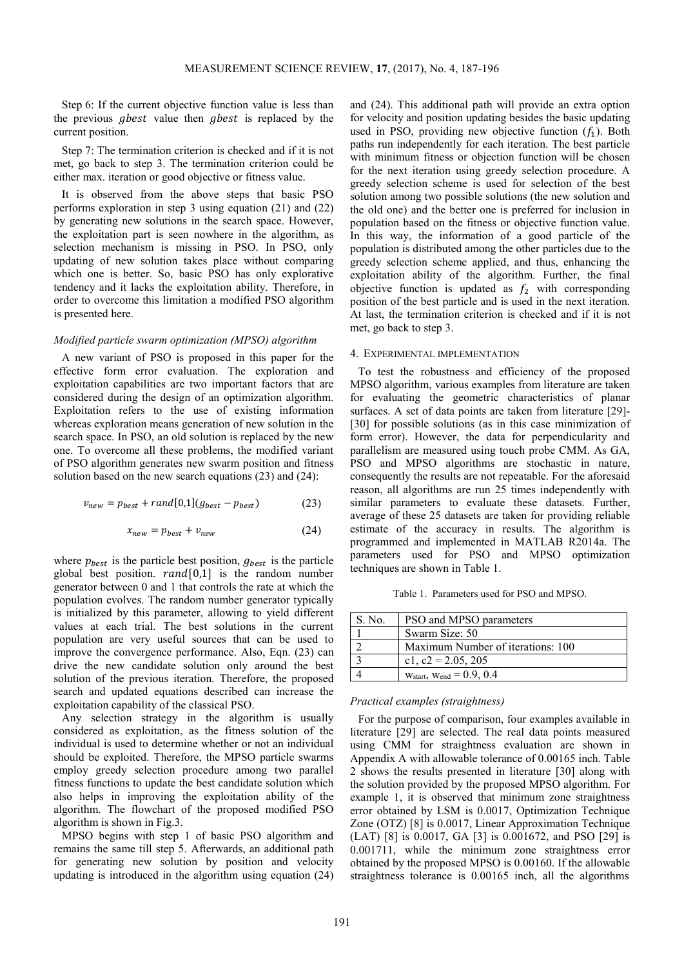Step 6: If the current objective function value is less than the previous *gbest* value then *gbest* is replaced by the current position.

Step 7: The termination criterion is checked and if it is not met, go back to step 3. The termination criterion could be either max. iteration or good objective or fitness value.

It is observed from the above steps that basic PSO performs exploration in step 3 using equation (21) and (22) by generating new solutions in the search space. However, the exploitation part is seen nowhere in the algorithm, as selection mechanism is missing in PSO. In PSO, only updating of new solution takes place without comparing which one is better. So, basic PSO has only explorative tendency and it lacks the exploitation ability. Therefore, in order to overcome this limitation a modified PSO algorithm is presented here.

# *Modified particle swarm optimization (MPSO) algorithm*

A new variant of PSO is proposed in this paper for the effective form error evaluation. The exploration and exploitation capabilities are two important factors that are considered during the design of an optimization algorithm. Exploitation refers to the use of existing information whereas exploration means generation of new solution in the search space. In PSO, an old solution is replaced by the new one. To overcome all these problems, the modified variant of PSO algorithm generates new swarm position and fitness solution based on the new search equations (23) and (24):

$$
v_{new} = p_{best} + rand[0,1](g_{best} - p_{best})
$$
 (23)

$$
x_{new} = p_{best} + v_{new}
$$
 (24)

where  $p_{best}$  is the particle best position,  $g_{best}$  is the particle global best position.  $rand[0,1]$  is the random number generator between 0 and 1 that controls the rate at which the population evolves. The random number generator typically is initialized by this parameter, allowing to yield different values at each trial. The best solutions in the current population are very useful sources that can be used to improve the convergence performance. Also, Eqn. (23) can drive the new candidate solution only around the best solution of the previous iteration. Therefore, the proposed search and updated equations described can increase the exploitation capability of the classical PSO.

Any selection strategy in the algorithm is usually considered as exploitation, as the fitness solution of the individual is used to determine whether or not an individual should be exploited. Therefore, the MPSO particle swarms employ greedy selection procedure among two parallel fitness functions to update the best candidate solution which also helps in improving the exploitation ability of the algorithm. The flowchart of the proposed modified PSO algorithm is shown in Fig.3.

MPSO begins with step 1 of basic PSO algorithm and remains the same till step 5. Afterwards, an additional path for generating new solution by position and velocity updating is introduced in the algorithm using equation (24) and (24). This additional path will provide an extra option for velocity and position updating besides the basic updating used in PSO, providing new objective function  $(f_1)$ . Both paths run independently for each iteration. The best particle with minimum fitness or objection function will be chosen for the next iteration using greedy selection procedure. A greedy selection scheme is used for selection of the best solution among two possible solutions (the new solution and the old one) and the better one is preferred for inclusion in population based on the fitness or objective function value. In this way, the information of a good particle of the population is distributed among the other particles due to the greedy selection scheme applied, and thus, enhancing the exploitation ability of the algorithm. Further, the final objective function is updated as  $f_2$  with corresponding position of the best particle and is used in the next iteration. At last, the termination criterion is checked and if it is not met, go back to step 3.

#### 4. EXPERIMENTAL IMPLEMENTATION

To test the robustness and efficiency of the proposed MPSO algorithm, various examples from literature are taken for evaluating the geometric characteristics of planar surfaces. A set of data points are taken from literature [29]- [30] for possible solutions (as in this case minimization of form error). However, the data for perpendicularity and parallelism are measured using touch probe CMM. As GA, PSO and MPSO algorithms are stochastic in nature, consequently the results are not repeatable. For the aforesaid reason, all algorithms are run 25 times independently with similar parameters to evaluate these datasets. Further, average of these 25 datasets are taken for providing reliable estimate of the accuracy in results. The algorithm is programmed and implemented in MATLAB R2014a. The parameters used for PSO and MPSO optimization techniques are shown in Table 1.

Table 1. Parameters used for PSO and MPSO.

| S. No. | PSO and MPSO parameters            |
|--------|------------------------------------|
|        | Swarm Size: 50                     |
|        | Maximum Number of iterations: 100  |
|        | c1, $c2 = 2.05$ , 205              |
|        | $W_{start}$ , $W_{end} = 0.9, 0.4$ |

## *Practical examples (straightness)*

For the purpose of comparison, four examples available in literature [29] are selected. The real data points measured using CMM for straightness evaluation are shown in Appendix A with allowable tolerance of 0.00165 inch. Table 2 shows the results presented in literature [30] along with the solution provided by the proposed MPSO algorithm. For example 1, it is observed that minimum zone straightness error obtained by LSM is 0.0017, Optimization Technique Zone (OTZ) [8] is 0.0017, Linear Approximation Technique (LAT) [8] is 0.0017, GA [3] is 0.001672, and PSO [29] is 0.001711, while the minimum zone straightness error obtained by the proposed MPSO is 0.00160. If the allowable straightness tolerance is 0.00165 inch, all the algorithms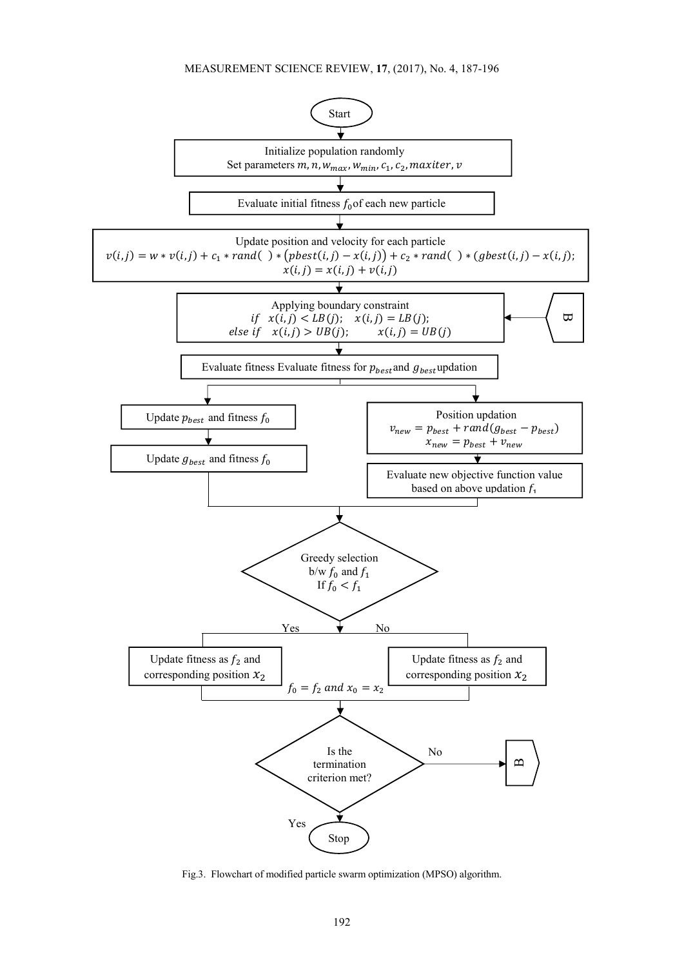

Fig.3. Flowchart of modified particle swarm optimization (MPSO) algorithm.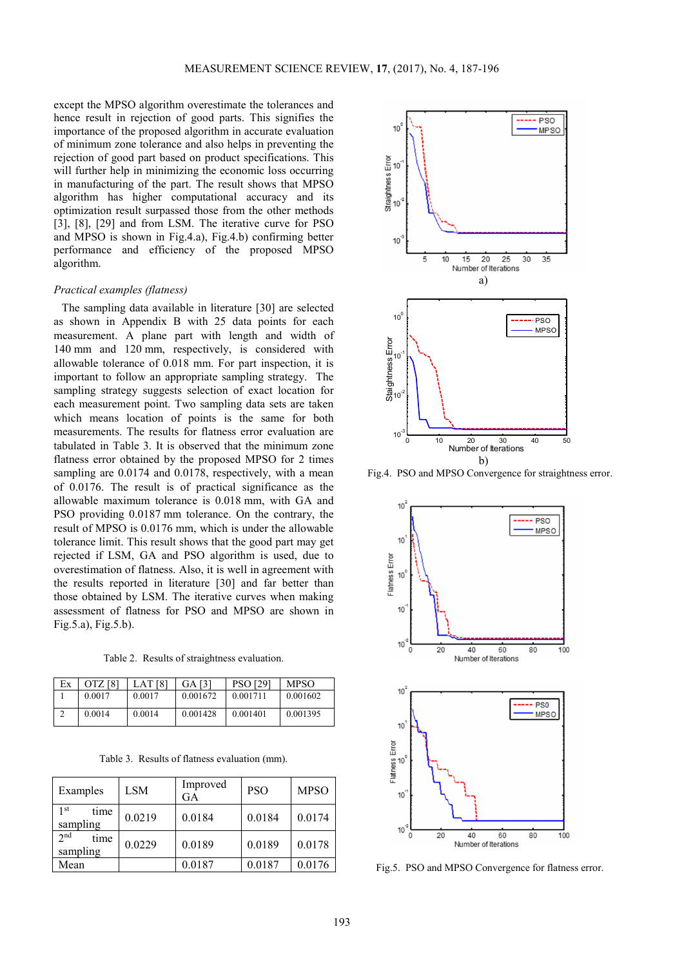except the MPSO algorithm overestimate the tolerances and hence result in rejection of good parts. This signifies the importance of the proposed algorithm in accurate evaluation of minimum zone tolerance and also helps in preventing the rejection of good part based on product specifications. This will further help in minimizing the economic loss occurring in manufacturing of the part. The result shows that MPSO algorithm has higher computational accuracy and its optimization result surpassed those from the other methods [3], [8], [29] and from LSM. The iterative curve for PSO and MPSO is shown in Fig.4.a), Fig.4.b) confirming better performance and efficiency of the proposed MPSO algorithm.

## *Practical examples (flatness)*

The sampling data available in literature [30] are selected as shown in Appendix B with 25 data points for each measurement. A plane part with length and width of 140 mm and 120 mm, respectively, is considered with allowable tolerance of 0.018 mm. For part inspection, it is important to follow an appropriate sampling strategy. The sampling strategy suggests selection of exact location for each measurement point. Two sampling data sets are taken which means location of points is the same for both measurements. The results for flatness error evaluation are tabulated in Table 3. It is observed that the minimum zone flatness error obtained by the proposed MPSO for 2 times sampling are  $0.0174$  and  $0.0178$ , respectively, with a mean of 0.0176. The result is of practical significance as the allowable maximum tolerance is 0.018 mm, with GA and PSO providing 0.0187 mm tolerance. On the contrary, the result of MPSO is 0.0176 mm, which is under the allowable tolerance limit. This result shows that the good part may get rejected if LSM, GA and PSO algorithm is used, due to overestimation of flatness. Also, it is well in agreement with the results reported in literature [30] and far better than those obtained by LSM. The iterative curves when making assessment of flatness for PSO and MPSO are shown in Fig.5.a), Fig.5.b).

Table 2. Results of straightness evaluation.

| Ex | OTZ <sub>[8]</sub> | LAT <sub>[8]</sub> | GA [3]   | <b>PSO [29]</b> | <b>MPSO</b> |
|----|--------------------|--------------------|----------|-----------------|-------------|
|    | 0.0017             | 0.0017             | 0.001672 | 0.001711        | 0.001602    |
|    | 0.0014             | 0.0014             | 0.001428 | 0.001401        | 0.001395    |

Table 3. Results of flatness evaluation (mm).

| Examples                            | LSM    | Improved<br>GA | <b>PSO</b> | <b>MPSO</b> |
|-------------------------------------|--------|----------------|------------|-------------|
| 1 <sup>st</sup><br>time<br>sampling | 0.0219 | 0.0184         | 0.0184     | 0.0174      |
| $2^{nd}$<br>time<br>sampling        | 0.0229 | 0.0189         | 0.0189     | 0.0178      |
| Mean                                |        | 0.0187         | 0.0187     | 0.0176      |



Fig.4. PSO and MPSO Convergence for straightness error.



Fig.5. PSO and MPSO Convergence for flatness error.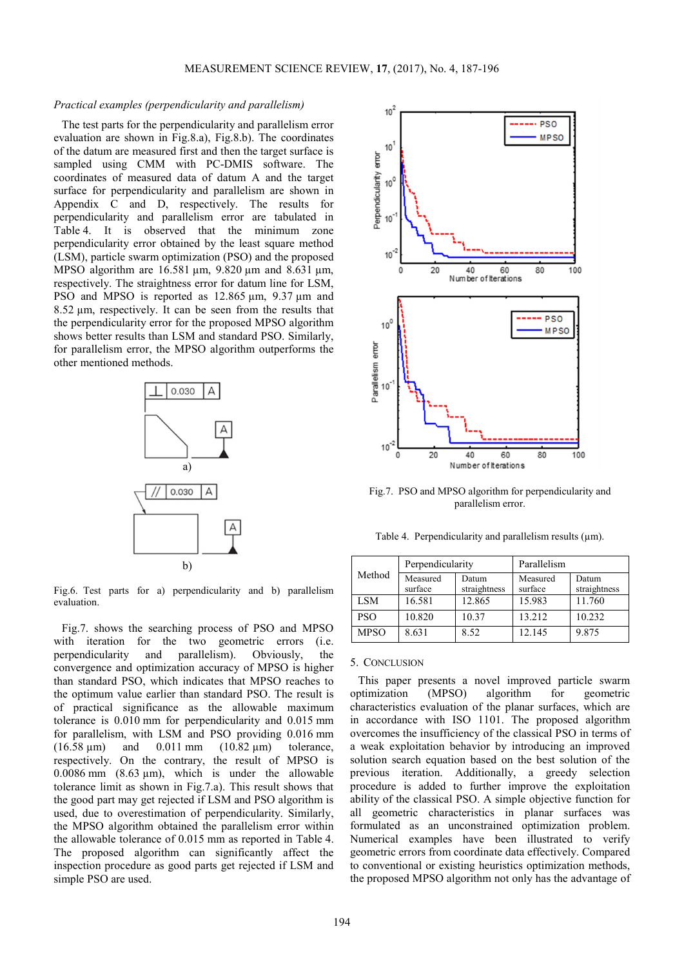# *Practical examples (perpendicularity and parallelism)*

The test parts for the perpendicularity and parallelism error evaluation are shown in Fig.8.a), Fig.8.b). The coordinates of the datum are measured first and then the target surface is sampled using CMM with PC-DMIS software. The coordinates of measured data of datum A and the target surface for perpendicularity and parallelism are shown in Appendix C and D, respectively. The results for perpendicularity and parallelism error are tabulated in Table 4. It is observed that the minimum zone perpendicularity error obtained by the least square method (LSM), particle swarm optimization (PSO) and the proposed MPSO algorithm are 16.581 µm, 9.820 µm and 8.631 µm, respectively. The straightness error for datum line for LSM, PSO and MPSO is reported as 12.865  $\mu$ m, 9.37  $\mu$ m and 8.52 µm, respectively. It can be seen from the results that the perpendicularity error for the proposed MPSO algorithm shows better results than LSM and standard PSO. Similarly, for parallelism error, the MPSO algorithm outperforms the other mentioned methods.



Fig.6. Test parts for a) perpendicularity and b) parallelism evaluation.

Fig.7. shows the searching process of PSO and MPSO with iteration for the two geometric errors (i.e. perpendicularity and parallelism). Obviously, the convergence and optimization accuracy of MPSO is higher than standard PSO, which indicates that MPSO reaches to the optimum value earlier than standard PSO. The result is of practical significance as the allowable maximum tolerance is 0.010 mm for perpendicularity and 0.015 mm for parallelism, with LSM and PSO providing 0.016 mm (16.58  $\mu$ m) and 0.011 mm (10.82  $\mu$ m) tolerance, respectively. On the contrary, the result of MPSO is  $0.0086$  mm  $(8.63 \text{ µm})$ , which is under the allowable tolerance limit as shown in Fig.7.a). This result shows that the good part may get rejected if LSM and PSO algorithm is used, due to overestimation of perpendicularity. Similarly, the MPSO algorithm obtained the parallelism error within the allowable tolerance of 0.015 mm as reported in Table 4. The proposed algorithm can significantly affect the inspection procedure as good parts get rejected if LSM and simple PSO are used.



Fig.7. PSO and MPSO algorithm for perpendicularity and parallelism error.

Table 4. Perpendicularity and parallelism results  $(\mu m)$ .

| Method      | Perpendicularity    |                       | Parallelism         |                       |
|-------------|---------------------|-----------------------|---------------------|-----------------------|
|             | Measured<br>surface | Datum<br>straightness | Measured<br>surface | Datum<br>straightness |
| LSM         | 16.581              | 12.865                | 15.983              | 11.760                |
| <b>PSO</b>  | 10.820              | 10.37                 | 13.212              | 10.232                |
| <b>MPSO</b> | 8.631               | 8.52                  | 12.145              | 9.875                 |

## 5. CONCLUSION

This paper presents a novel improved particle swarm optimization (MPSO) algorithm for geometric characteristics evaluation of the planar surfaces, which are in accordance with ISO 1101. The proposed algorithm overcomes the insufficiency of the classical PSO in terms of a weak exploitation behavior by introducing an improved solution search equation based on the best solution of the previous iteration. Additionally, a greedy selection procedure is added to further improve the exploitation ability of the classical PSO. A simple objective function for all geometric characteristics in planar surfaces was formulated as an unconstrained optimization problem. Numerical examples have been illustrated to verify geometric errors from coordinate data effectively. Compared to conventional or existing heuristics optimization methods, the proposed MPSO algorithm not only has the advantage of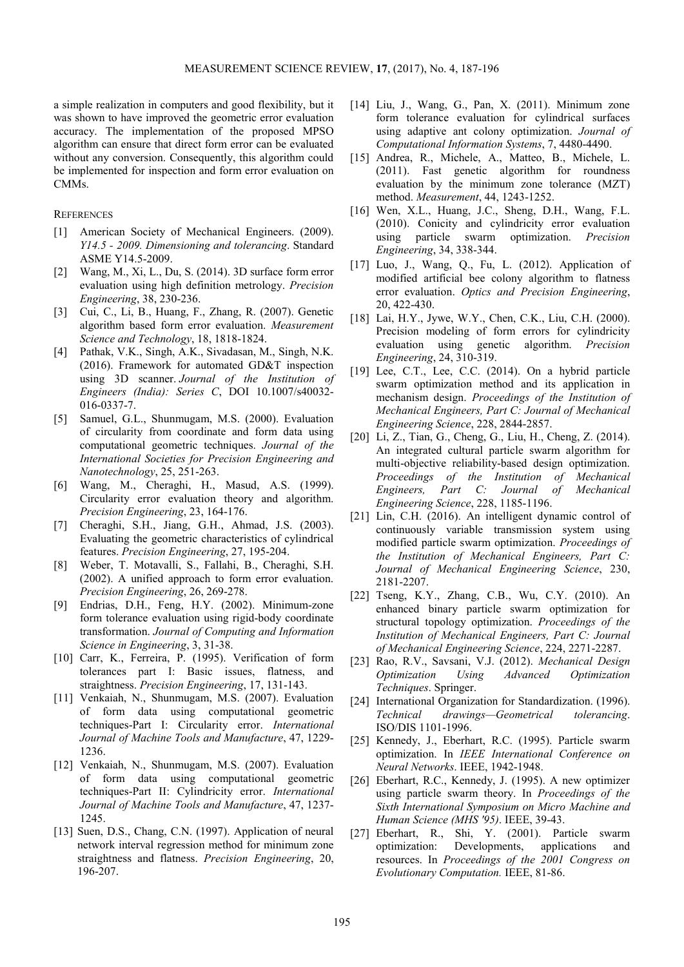a simple realization in computers and good flexibility, but it was shown to have improved the geometric error evaluation accuracy. The implementation of the proposed MPSO algorithm can ensure that direct form error can be evaluated without any conversion. Consequently, this algorithm could be implemented for inspection and form error evaluation on CMMs.

# **REFERENCES**

- [1] American Society of Mechanical Engineers. (2009). *Y14.5 - 2009. Dimensioning and tolerancing*. Standard ASME Y14.5-2009.
- [2] Wang, M., Xi, L., Du, S. (2014). 3D surface form error evaluation using high definition metrology. *Precision Engineering*, 38, 230-236.
- [3] Cui, C., Li, B., Huang, F., Zhang, R. (2007). Genetic algorithm based form error evaluation. *Measurement Science and Technology*, 18, 1818-1824.
- [4] Pathak, V.K., Singh, A.K., Sivadasan, M., Singh, N.K. (2016). Framework for automated GD&T inspection using 3D scanner. *Journal of the Institution of Engineers (India): Series C*, DOI 10.1007/s40032- 016-0337-7.
- [5] Samuel, G.L., Shunmugam, M.S. (2000). Evaluation of circularity from coordinate and form data using computational geometric techniques. *Journal of the International Societies for Precision Engineering and Nanotechnology*, 25, 251-263.
- [6] Wang, M., Cheraghi, H., Masud, A.S. (1999). Circularity error evaluation theory and algorithm. *Precision Engineering*, 23, 164-176.
- [7] Cheraghi, S.H., Jiang, G.H., Ahmad, J.S. (2003). Evaluating the geometric characteristics of cylindrical features. *Precision Engineering*, 27, 195-204.
- [8] Weber, T. Motavalli, S., Fallahi, B., Cheraghi, S.H. (2002). A unified approach to form error evaluation. *Precision Engineering*, 26, 269-278.
- [9] Endrias, D.H., Feng, H.Y. (2002). Minimum-zone form tolerance evaluation using rigid-body coordinate transformation. *Journal of Computing and Information Science in Engineering*, 3, 31-38.
- [10] Carr, K., Ferreira, P. (1995). Verification of form tolerances part I: Basic issues, flatness, and straightness. *Precision Engineering*, 17, 131-143.
- [11] Venkaiah, N., Shunmugam, M.S. (2007). Evaluation of form data using computational geometric techniques-Part I: Circularity error. *International Journal of Machine Tools and Manufacture*, 47, 1229- 1236.
- [12] Venkaiah, N., Shunmugam, M.S. (2007). Evaluation of form data using computational geometric techniques-Part II: Cylindricity error. *International Journal of Machine Tools and Manufacture*, 47, 1237- 1245.
- [13] Suen, D.S., Chang, C.N. (1997). Application of neural network interval regression method for minimum zone straightness and flatness. *Precision Engineering*, 20, 196-207.
- [14] Liu, J., Wang, G., Pan, X. (2011). Minimum zone form tolerance evaluation for cylindrical surfaces using adaptive ant colony optimization. *Journal of Computational Information Systems*, 7, 4480-4490.
- [15] Andrea, R., Michele, A., Matteo, B., Michele, L. (2011). Fast genetic algorithm for roundness evaluation by the minimum zone tolerance (MZT) method. *Measurement*, 44, 1243-1252.
- [16] Wen, X.L., Huang, J.C., Sheng, D.H., Wang, F.L. (2010). Conicity and cylindricity error evaluation using particle swarm optimization. *Precision Engineering*, 34, 338-344.
- [17] Luo, J., Wang, Q., Fu, L. (2012). Application of modified artificial bee colony algorithm to flatness error evaluation. *Optics and Precision Engineering*, 20, 422-430.
- [18] Lai, H.Y., Jywe, W.Y., Chen, C.K., Liu, C.H. (2000). Precision modeling of form errors for cylindricity evaluation using genetic algorithm. *Precision Engineering*, 24, 310-319.
- [19] Lee, C.T., Lee, C.C. (2014). On a hybrid particle swarm optimization method and its application in mechanism design. *Proceedings of the Institution of Mechanical Engineers, Part C: Journal of Mechanical Engineering Science*, 228, 2844-2857.
- [20] Li, Z., Tian, G., Cheng, G., Liu, H., Cheng, Z. (2014). An integrated cultural particle swarm algorithm for multi-objective reliability-based design optimization. *Proceedings of the Institution of Mechanical Engineers, Part C: Journal of Mechanical Engineering Science*, 228, 1185-1196.
- [21] Lin, C.H. (2016). An intelligent dynamic control of continuously variable transmission system using modified particle swarm optimization. *Proceedings of the Institution of Mechanical Engineers, Part C: Journal of Mechanical Engineering Science*, 230, 2181-2207.
- [22] Tseng, K.Y., Zhang, C.B., Wu, C.Y. (2010). An enhanced binary particle swarm optimization for structural topology optimization. *Proceedings of the Institution of Mechanical Engineers, Part C: Journal of Mechanical Engineering Science*, 224, 2271-2287.
- [23] Rao, R.V., Savsani, V.J. (2012). *Mechanical Design Optimization Using Advanced Optimization Techniques*. Springer.
- [24] International Organization for Standardization. (1996). *Technical drawings—Geometrical tolerancing*. ISO/DIS 1101-1996.
- [25] Kennedy, J., Eberhart, R.C. (1995). Particle swarm optimization. In *IEEE International Conference on Neural Networks*. IEEE, 1942-1948.
- [26] Eberhart, R.C., Kennedy, J. (1995). A new optimizer using particle swarm theory. In *Proceedings of the Sixth International Symposium on Micro Machine and Human Science (MHS '95)*. IEEE, 39-43.
- [27] Eberhart, R., Shi, Y. (2001). Particle swarm optimization: Developments, applications and resources. In *Proceedings of the 2001 Congress on Evolutionary Computation.* IEEE, 81-86.